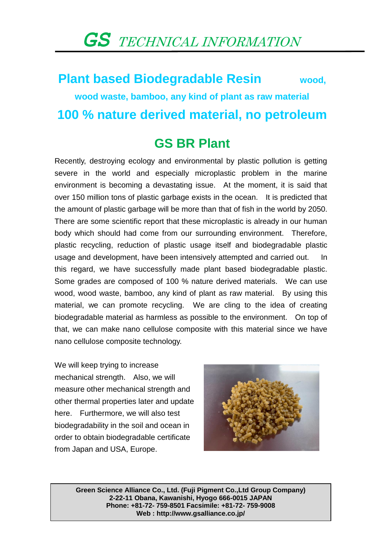## *GS* TECHNICAL INFORMATION

## **Plant based Biodegradable Resin wood, wood waste, bamboo, any kind of plant as raw material 100 % nature derived material, no petroleum**

## **GS BR Plant**

Recently, destroying ecology and environmental by plastic pollution is getting severe in the world and especially microplastic problem in the marine environment is becoming a devastating issue. At the moment, it is said that over 150 million tons of plastic garbage exists in the ocean. It is predicted that the amount of plastic garbage will be more than that of fish in the world by 2050. There are some scientific report that these microplastic is already in our human body which should had come from our surrounding environment. Therefore, plastic recycling, reduction of plastic usage itself and biodegradable plastic usage and development, have been intensively attempted and carried out. In this regard, we have successfully made plant based biodegradable plastic. Some grades are composed of 100 % nature derived materials. We can use wood, wood waste, bamboo, any kind of plant as raw material. By using this material, we can promote recycling. We are cling to the idea of creating biodegradable material as harmless as possible to the environment. On top of that, we can make nano cellulose composite with this material since we have nano cellulose composite technology.

We will keep trying to increase mechanical strength. Also, we will measure other mechanical strength and other thermal properties later and update here. Furthermore, we will also test biodegradability in the soil and ocean in order to obtain biodegradable certificate from Japan and USA, Europe.



**Green Science Alliance Co., Ltd. (Fuji Pigment Co.,Ltd Group Company) 2-22-11 Obana, Kawanishi, Hyogo 666-0015 JAPAN Phone: +81-72- 759-8501 Facsimile: +81-72- 759-9008 Web : http://www.gsalliance.co.jp/**